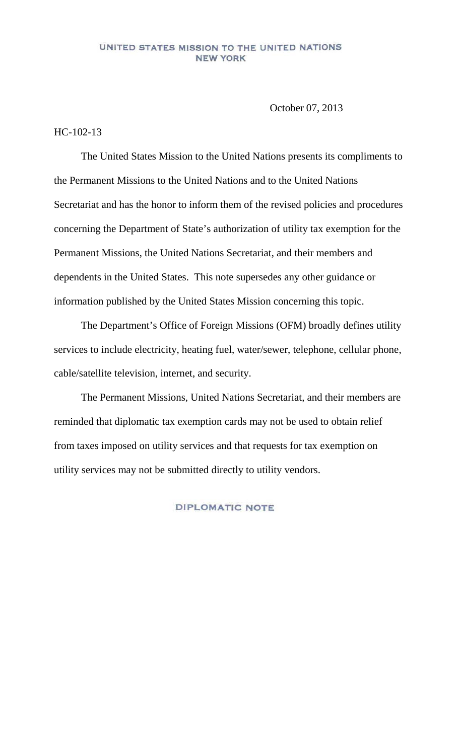## UNITED STATES MISSION TO THE UNITED NATIONS **NEW YORK**

October 07, 2013

## HC-102-13

The United States Mission to the United Nations presents its compliments to the Permanent Missions to the United Nations and to the United Nations Secretariat and has the honor to inform them of the revised policies and procedures concerning the Department of State's authorization of utility tax exemption for the Permanent Missions, the United Nations Secretariat, and their members and dependents in the United States. This note supersedes any other guidance or information published by the United States Mission concerning this topic.

The Department's Office of Foreign Missions (OFM) broadly defines utility services to include electricity, heating fuel, water/sewer, telephone, cellular phone, cable/satellite television, internet, and security.

The Permanent Missions, United Nations Secretariat, and their members are reminded that diplomatic tax exemption cards may not be used to obtain relief from taxes imposed on utility services and that requests for tax exemption on utility services may not be submitted directly to utility vendors.

## **DIPLOMATIC NOTE**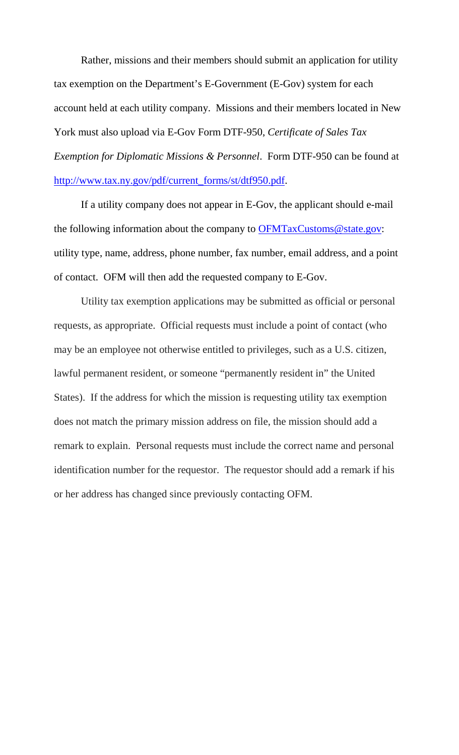Rather, missions and their members should submit an application for utility tax exemption on the Department's E-Government (E-Gov) system for each account held at each utility company. Missions and their members located in New York must also upload via E-Gov Form DTF-950, *Certificate of Sales Tax Exemption for Diplomatic Missions & Personnel*. Form DTF-950 can be found at [http://www.tax.ny.gov/pdf/current\\_forms/st/dtf950.pdf.](http://www.tax.ny.gov/pdf/current_forms/st/dtf950.pdf)

If a utility company does not appear in E-Gov, the applicant should e-mail the following information about the company to [OFMTaxCustoms@state.gov:](mailto:OFMTaxCustoms@state.gov) utility type, name, address, phone number, fax number, email address, and a point of contact. OFM will then add the requested company to E-Gov.

Utility tax exemption applications may be submitted as official or personal requests, as appropriate. Official requests must include a point of contact (who may be an employee not otherwise entitled to privileges, such as a U.S. citizen, lawful permanent resident, or someone "permanently resident in" the United States). If the address for which the mission is requesting utility tax exemption does not match the primary mission address on file, the mission should add a remark to explain. Personal requests must include the correct name and personal identification number for the requestor. The requestor should add a remark if his or her address has changed since previously contacting OFM.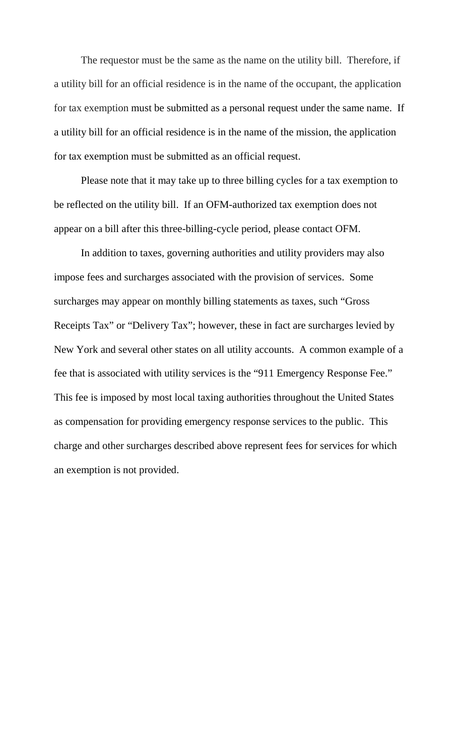The requestor must be the same as the name on the utility bill. Therefore, if a utility bill for an official residence is in the name of the occupant, the application for tax exemption must be submitted as a personal request under the same name. If a utility bill for an official residence is in the name of the mission, the application for tax exemption must be submitted as an official request.

Please note that it may take up to three billing cycles for a tax exemption to be reflected on the utility bill. If an OFM-authorized tax exemption does not appear on a bill after this three-billing-cycle period, please contact OFM.

In addition to taxes, governing authorities and utility providers may also impose fees and surcharges associated with the provision of services. Some surcharges may appear on monthly billing statements as taxes, such "Gross Receipts Tax" or "Delivery Tax"; however, these in fact are surcharges levied by New York and several other states on all utility accounts. A common example of a fee that is associated with utility services is the "911 Emergency Response Fee." This fee is imposed by most local taxing authorities throughout the United States as compensation for providing emergency response services to the public. This charge and other surcharges described above represent fees for services for which an exemption is not provided.